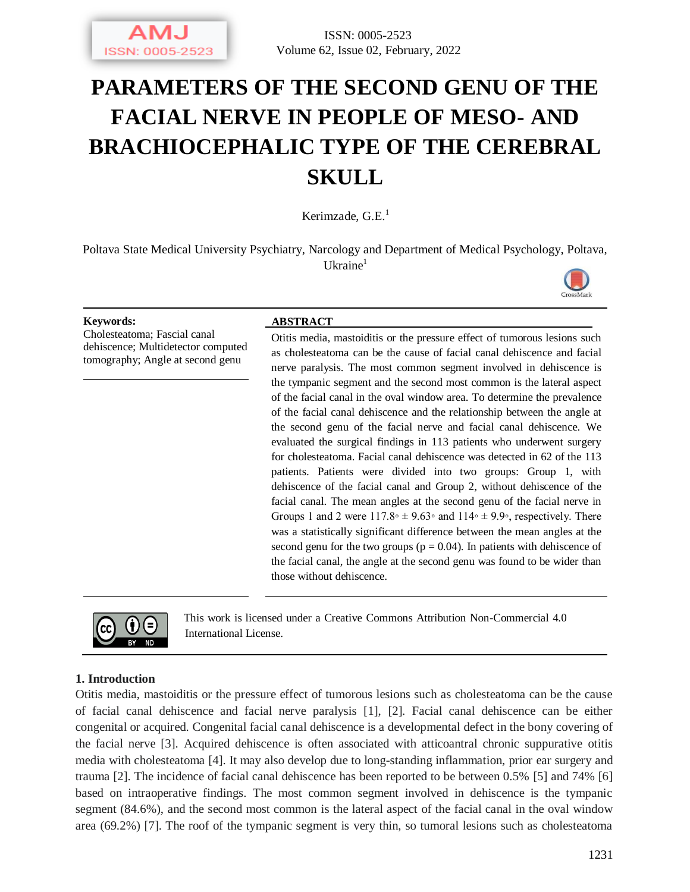# **PARAMETERS OF THE SECOND GENU OF THE FACIAL NERVE IN PEOPLE OF MESO- AND BRACHIOCEPHALIC TYPE OF THE CEREBRAL SKULL**

Kerimzade,  $G.E.<sup>1</sup>$ 

Poltava State Medical University Psychiatry, Narcology and Department of Medical Psychology, Poltava,  $U$ kraine<sup>1</sup>



Cholesteatoma; Fascial canal dehiscence; Multidetector computed tomography; Angle at second genu

#### **Keywords: ABSTRACT**

Otitis media, mastoiditis or the pressure effect of tumorous lesions such as cholesteatoma can be the cause of facial canal dehiscence and facial nerve paralysis. The most common segment involved in dehiscence is the tympanic segment and the second most common is the lateral aspect of the facial canal in the oval window area. To determine the prevalence of the facial canal dehiscence and the relationship between the angle at the second genu of the facial nerve and facial canal dehiscence. We evaluated the surgical findings in 113 patients who underwent surgery for cholesteatoma. Facial canal dehiscence was detected in 62 of the 113 patients. Patients were divided into two groups: Group 1, with dehiscence of the facial canal and Group 2, without dehiscence of the facial canal. The mean angles at the second genu of the facial nerve in Groups 1 and 2 were  $117.8\textdegree \pm 9.63\textdegree$  and  $114\textdegree \pm 9.9\textdegree$ , respectively. There was a statistically significant difference between the mean angles at the second genu for the two groups ( $p = 0.04$ ). In patients with dehiscence of the facial canal, the angle at the second genu was found to be wider than those without dehiscence.



This work is licensed under a Creative Commons Attribution Non-Commercial 4.0 International License.

### **1. Introduction**

Otitis media, mastoiditis or the pressure effect of tumorous lesions such as cholesteatoma can be the cause of facial canal dehiscence and facial nerve paralysis [1], [2]. Facial canal dehiscence can be either congenital or acquired. Congenital facial canal dehiscence is a developmental defect in the bony covering of the facial nerve [3]. Acquired dehiscence is often associated with atticoantral chronic suppurative otitis media with cholesteatoma [4]. It may also develop due to long-standing inflammation, prior ear surgery and trauma [2]. The incidence of facial canal dehiscence has been reported to be between 0.5% [5] and 74% [6] based on intraoperative findings. The most common segment involved in dehiscence is the tympanic segment (84.6%), and the second most common is the lateral aspect of the facial canal in the oval window area (69.2%) [7]. The roof of the tympanic segment is very thin, so tumoral lesions such as cholesteatoma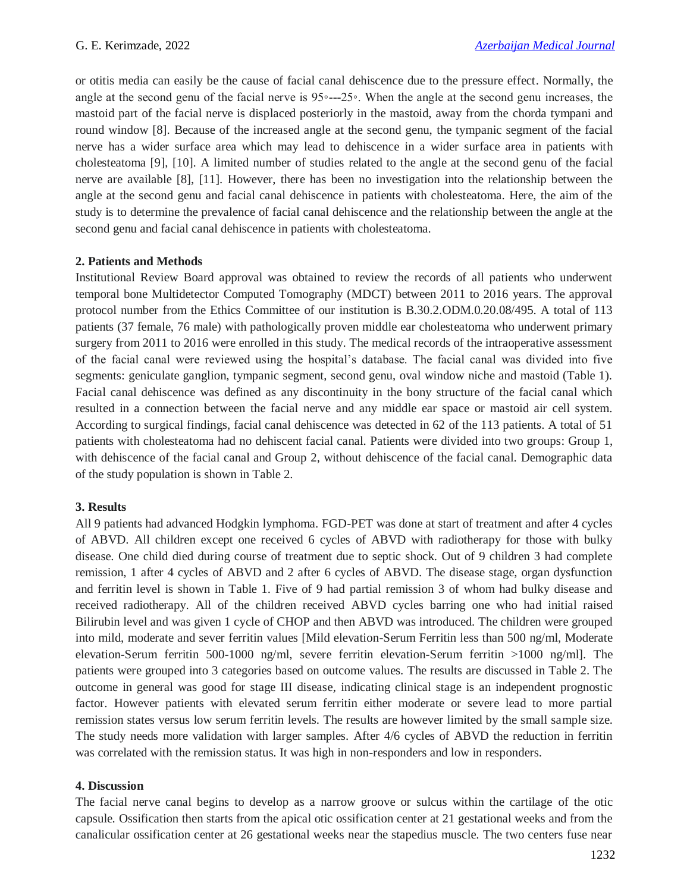or otitis media can easily be the cause of facial canal dehiscence due to the pressure effect. Normally, the angle at the second genu of the facial nerve is 95◦---25◦. When the angle at the second genu increases, the mastoid part of the facial nerve is displaced posteriorly in the mastoid, away from the chorda tympani and round window [8]. Because of the increased angle at the second genu, the tympanic segment of the facial nerve has a wider surface area which may lead to dehiscence in a wider surface area in patients with cholesteatoma [9], [10]. A limited number of studies related to the angle at the second genu of the facial nerve are available [8], [11]. However, there has been no investigation into the relationship between the angle at the second genu and facial canal dehiscence in patients with cholesteatoma. Here, the aim of the study is to determine the prevalence of facial canal dehiscence and the relationship between the angle at the second genu and facial canal dehiscence in patients with cholesteatoma.

# **2. Patients and Methods**

Institutional Review Board approval was obtained to review the records of all patients who underwent temporal bone Multidetector Computed Tomography (MDCT) between 2011 to 2016 years. The approval protocol number from the Ethics Committee of our institution is B.30.2.ODM.0.20.08/495. A total of 113 patients (37 female, 76 male) with pathologically proven middle ear cholesteatoma who underwent primary surgery from 2011 to 2016 were enrolled in this study. The medical records of the intraoperative assessment of the facial canal were reviewed using the hospital's database. The facial canal was divided into five segments: geniculate ganglion, tympanic segment, second genu, oval window niche and mastoid (Table 1). Facial canal dehiscence was defined as any discontinuity in the bony structure of the facial canal which resulted in a connection between the facial nerve and any middle ear space or mastoid air cell system. According to surgical findings, facial canal dehiscence was detected in 62 of the 113 patients. A total of 51 patients with cholesteatoma had no dehiscent facial canal. Patients were divided into two groups: Group 1, with dehiscence of the facial canal and Group 2, without dehiscence of the facial canal. Demographic data of the study population is shown in Table 2.

# **3. Results**

All 9 patients had advanced Hodgkin lymphoma. FGD-PET was done at start of treatment and after 4 cycles of ABVD. All children except one received 6 cycles of ABVD with radiotherapy for those with bulky disease. One child died during course of treatment due to septic shock. Out of 9 children 3 had complete remission, 1 after 4 cycles of ABVD and 2 after 6 cycles of ABVD. The disease stage, organ dysfunction and ferritin level is shown in Table 1. Five of 9 had partial remission 3 of whom had bulky disease and received radiotherapy. All of the children received ABVD cycles barring one who had initial raised Bilirubin level and was given 1 cycle of CHOP and then ABVD was introduced. The children were grouped into mild, moderate and sever ferritin values [Mild elevation-Serum Ferritin less than 500 ng/ml, Moderate elevation-Serum ferritin 500-1000 ng/ml, severe ferritin elevation-Serum ferritin >1000 ng/ml]. The patients were grouped into 3 categories based on outcome values. The results are discussed in Table 2. The outcome in general was good for stage III disease, indicating clinical stage is an independent prognostic factor. However patients with elevated serum ferritin either moderate or severe lead to more partial remission states versus low serum ferritin levels. The results are however limited by the small sample size. The study needs more validation with larger samples. After 4/6 cycles of ABVD the reduction in ferritin was correlated with the remission status. It was high in non-responders and low in responders.

# **4. Discussion**

The facial nerve canal begins to develop as a narrow groove or sulcus within the cartilage of the otic capsule. Ossification then starts from the apical otic ossification center at 21 gestational weeks and from the canalicular ossification center at 26 gestational weeks near the stapedius muscle. The two centers fuse near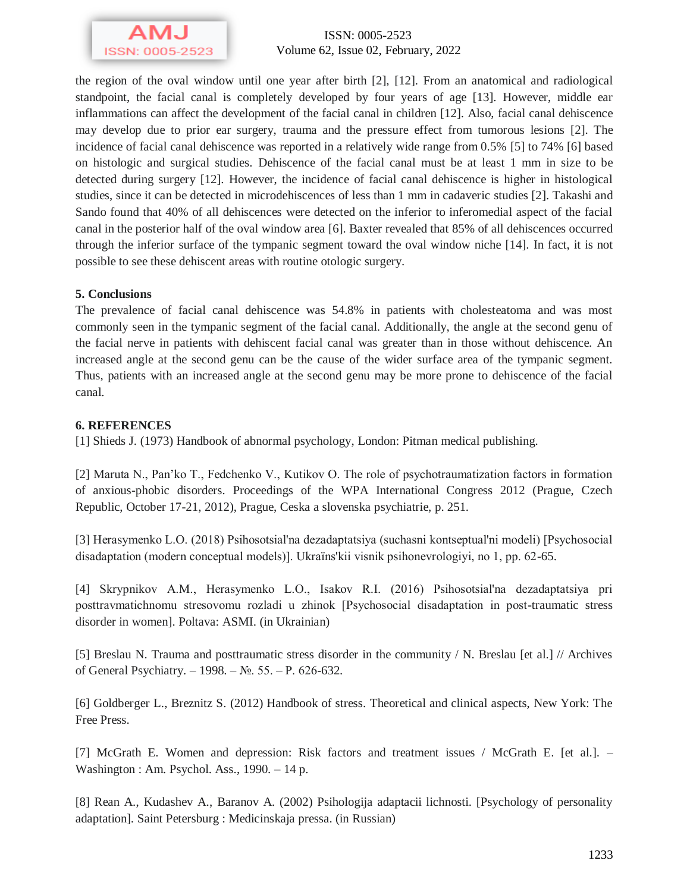

ISSN: 0005-2523 Volume 62, Issue 02, February, 2022

the region of the oval window until one year after birth [2], [12]. From an anatomical and radiological standpoint, the facial canal is completely developed by four years of age [13]. However, middle ear inflammations can affect the development of the facial canal in children [12]. Also, facial canal dehiscence may develop due to prior ear surgery, trauma and the pressure effect from tumorous lesions [2]. The incidence of facial canal dehiscence was reported in a relatively wide range from 0.5% [5] to 74% [6] based on histologic and surgical studies. Dehiscence of the facial canal must be at least 1 mm in size to be detected during surgery [12]. However, the incidence of facial canal dehiscence is higher in histological studies, since it can be detected in microdehiscences of less than 1 mm in cadaveric studies [2]. Takashi and Sando found that 40% of all dehiscences were detected on the inferior to inferomedial aspect of the facial canal in the posterior half of the oval window area [6]. Baxter revealed that 85% of all dehiscences occurred through the inferior surface of the tympanic segment toward the oval window niche [14]. In fact, it is not possible to see these dehiscent areas with routine otologic surgery.

# **5. Conclusions**

The prevalence of facial canal dehiscence was 54.8% in patients with cholesteatoma and was most commonly seen in the tympanic segment of the facial canal. Additionally, the angle at the second genu of the facial nerve in patients with dehiscent facial canal was greater than in those without dehiscence. An increased angle at the second genu can be the cause of the wider surface area of the tympanic segment. Thus, patients with an increased angle at the second genu may be more prone to dehiscence of the facial canal.

# **6. REFERENCES**

[1] Shieds J. (1973) Handbook of abnormal psychology, London: Pitman medical publishing.

[2] Maruta N., Pan'ko T., Fedchenko V., Kutikov O. The role of psychotraumatization factors in formation of anxious-phobic disorders. Proceedings of the WPA International Congress 2012 (Prague, Czech Republic, October 17-21, 2012), Prague, Ceska a slovenska psychiatrie, p. 251.

[3] Herasymenko L.O. (2018) Psihosotsіal'na dezadaptatsіya (suchasnі kontseptual'nі modelі) [Psychosocial disadaptation (modern conceptual models)]. Ukraїns'kii vіsnik psihonevrologіyi, no 1, pp. 62-65.

[4] Skrypnіkov A.M., Herasymenko L.O., Іsakov R.І. (2016) Psihosotsіal'na dezadaptatsіya pri posttravmatichnomu stresovomu rozladі u zhіnok [Psychosocial disadaptation in post-traumatic stress disorder in women]. Poltava: ASMI. (in Ukrainian)

[5] Breslau N. Trauma and posttraumatic stress disorder in the community / N. Breslau [et al.] // Archives of General Psychiatry. – 1998. – №. 55. – Р. 626-632.

[6] Goldberger L., Breznitz S. (2012) Handbook of stress. Theoretical and clinical aspects, New York: The Free Press.

[7] McGrath E. Women and depression: Risk factors and treatment issues / McGrath E. [et al.]. – Washington : Am. Psychol. Ass., 1990. – 14 p.

[8] Rean A., Kudashev A., Baranov A. (2002) Psihologija adaptacii lichnosti. [Psychology of personality adaptation]. Saint Petersburg : Medicinskaja pressa. (in Russian)